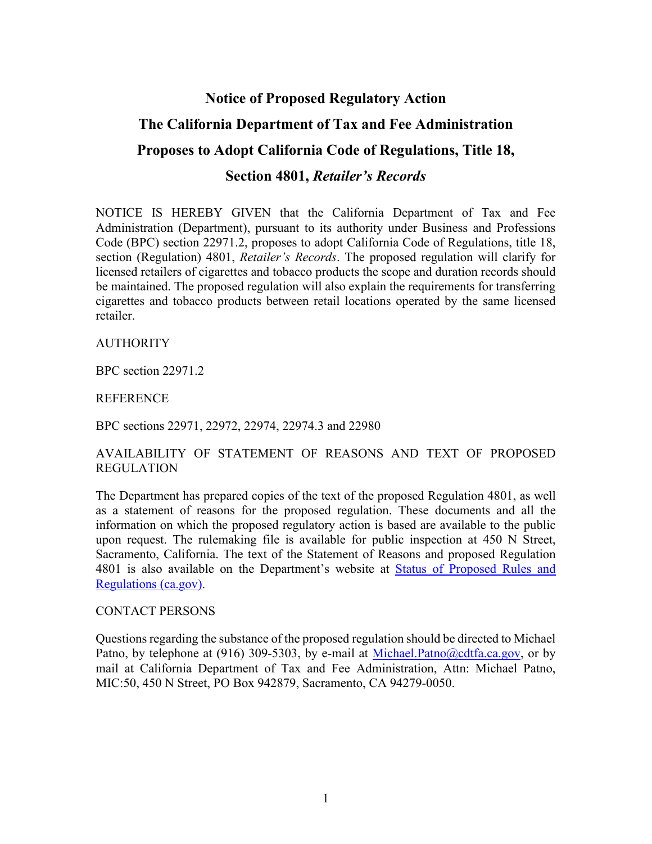# **Notice of Proposed Regulatory Action The California Department of Tax and Fee Administration Proposes to Adopt California Code of Regulations, Title 18, Section 4801,** *Retailer's Records*

NOTICE IS HEREBY GIVEN that the California Department of Tax and Fee Administration (Department), pursuant to its authority under Business and Professions Code (BPC) section 22971.2, proposes to adopt California Code of Regulations, title 18, section (Regulation) 4801, *Retailer's Records*. The proposed regulation will clarify for licensed retailers of cigarettes and tobacco products the scope and duration records should be maintained. The proposed regulation will also explain the requirements for transferring cigarettes and tobacco products between retail locations operated by the same licensed retailer.

**AUTHORITY** 

BPC section 22971.2

REFERENCE

BPC sections 22971, 22972, 22974, 22974.3 and 22980

## AVAILABILITY OF STATEMENT OF REASONS AND TEXT OF PROPOSED REGULATION

The Department has prepared copies of the text of the proposed Regulation 4801, as well as a statement of reasons for the proposed regulation. These documents and all the information on which the proposed regulatory action is based are available to the public upon request. The rulemaking file is available for public inspection at 450 N Street, Sacramento, California. The text of the Statement of Reasons and proposed Regulation 4801 is also available on the Department's website at [Status of Proposed Rules and](https://www.cdtfa.ca.gov/taxes-and-fees/regscont.htm)  [Regulations \(ca.gov\).](https://www.cdtfa.ca.gov/taxes-and-fees/regscont.htm)

#### CONTACT PERSONS

Questions regarding the substance of the proposed regulation should be directed to Michael Patno, by telephone at (916) 309-5303, by e-mail at [Michael.Patno@cdtfa.ca.gov,](mailto:Michael.Patno@cdtfa.ca.gov) or by mail at California Department of Tax and Fee Administration, Attn: Michael Patno, MIC:50, 450 N Street, PO Box 942879, Sacramento, CA 94279-0050.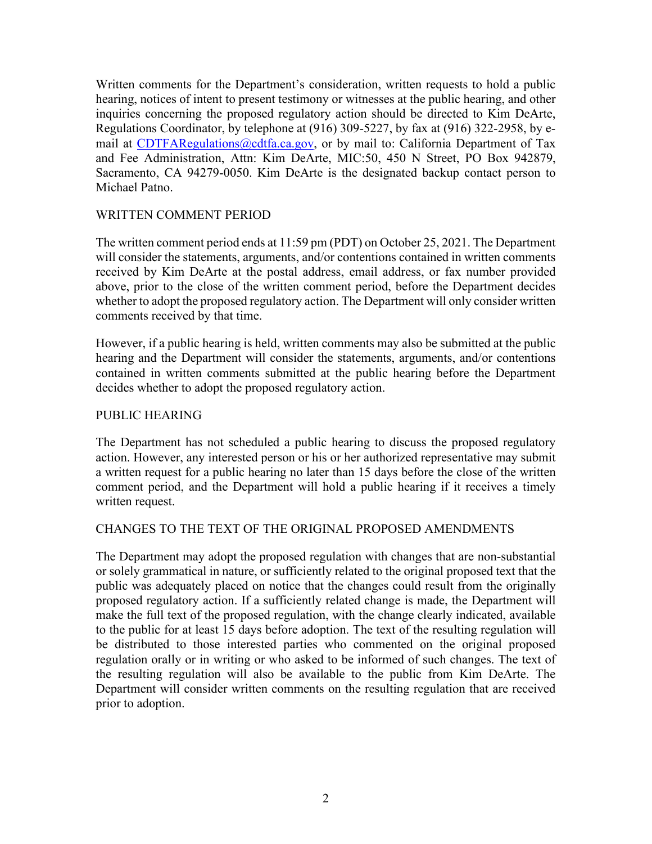Written comments for the Department's consideration, written requests to hold a public hearing, notices of intent to present testimony or witnesses at the public hearing, and other inquiries concerning the proposed regulatory action should be directed to Kim DeArte, Regulations Coordinator, by telephone at (916) 309-5227, by fax at (916) 322-2958, by e-mail at [CDTFARegulations@cdtfa.ca.gov,](mailto:CDTFARegulations@cdtfa.ca.gov) or by mail to: California Department of Tax and Fee Administration, Attn: Kim DeArte, MIC:50, 450 N Street, PO Box 942879, Sacramento, CA 94279-0050. Kim DeArte is the designated backup contact person to Michael Patno.

### WRITTEN COMMENT PERIOD

The written comment period ends at 11:59 pm (PDT) on October 25, 2021. The Department will consider the statements, arguments, and/or contentions contained in written comments received by Kim DeArte at the postal address, email address, or fax number provided above, prior to the close of the written comment period, before the Department decides whether to adopt the proposed regulatory action. The Department will only consider written comments received by that time.

However, if a public hearing is held, written comments may also be submitted at the public hearing and the Department will consider the statements, arguments, and/or contentions contained in written comments submitted at the public hearing before the Department decides whether to adopt the proposed regulatory action.

#### PUBLIC HEARING

The Department has not scheduled a public hearing to discuss the proposed regulatory action. However, any interested person or his or her authorized representative may submit a written request for a public hearing no later than 15 days before the close of the written comment period, and the Department will hold a public hearing if it receives a timely written request.

#### CHANGES TO THE TEXT OF THE ORIGINAL PROPOSED AMENDMENTS

The Department may adopt the proposed regulation with changes that are non-substantial or solely grammatical in nature, or sufficiently related to the original proposed text that the public was adequately placed on notice that the changes could result from the originally proposed regulatory action. If a sufficiently related change is made, the Department will make the full text of the proposed regulation, with the change clearly indicated, available to the public for at least 15 days before adoption. The text of the resulting regulation will be distributed to those interested parties who commented on the original proposed regulation orally or in writing or who asked to be informed of such changes. The text of the resulting regulation will also be available to the public from Kim DeArte. The Department will consider written comments on the resulting regulation that are received prior to adoption.